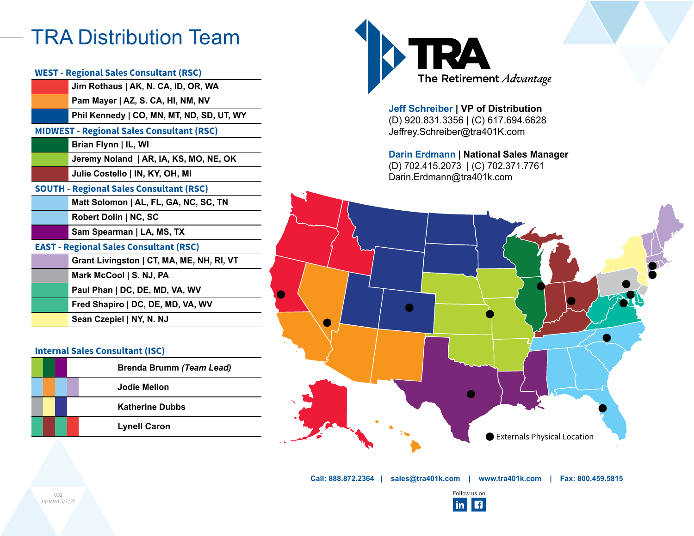## TRA Distribution Team

|                       | WEST - Regional Sales Consultant (RSC)           | The Retirement Advantage                                                     |  |
|-----------------------|--------------------------------------------------|------------------------------------------------------------------------------|--|
|                       | Jim Rothaus   AK, N. CA, ID, OR, WA              |                                                                              |  |
|                       | Pam Mayer   AZ, S. CA, HI, NM, NV                |                                                                              |  |
|                       | Phil Kennedy   CO, MN, MT, ND, SD, UT, WY        | Jeff Schreiber   VP of Distribution<br>(D) 920.831.3356   (C) 617.694.6628   |  |
|                       | <b>MIDWEST - Regional Sales Consultant (RSC)</b> | Jeffrey.Schreiber@tra401K.com                                                |  |
|                       | Brian Flynn   IL, WI                             |                                                                              |  |
|                       | Jeremy Noland   AR, IA, KS, MO, NE, OK           | Darin Erdmann   National Sales Manager                                       |  |
|                       | Julie Costello   IN, KY, OH, MI                  | (D) 702.415.2073   (C) 702.371.7761<br>Darin.Erdmann@tra401k.com             |  |
|                       | <b>SOUTH - Regional Sales Consultant (RSC)</b>   |                                                                              |  |
|                       | Matt Solomon   AL, FL, GA, NC, SC, TN            |                                                                              |  |
|                       | Robert Dolin   NC, SC                            |                                                                              |  |
|                       | Sam Spearman   LA, MS, TX                        |                                                                              |  |
|                       | <b>EAST - Regional Sales Consultant (RSC)</b>    |                                                                              |  |
|                       | Grant Livingston   CT, MA, ME, NH, RI, VT        |                                                                              |  |
|                       | Mark McCool   S. NJ, PA                          |                                                                              |  |
|                       | Paul Phan   DC, DE, MD, VA, WV                   |                                                                              |  |
|                       | Fred Shapiro   DC, DE, MD, VA, WV                | $\bullet$                                                                    |  |
|                       | Sean Czepiel   NY, N. NJ                         |                                                                              |  |
|                       |                                                  |                                                                              |  |
|                       | <b>Internal Sales Consultant (ISC)</b>           |                                                                              |  |
|                       | <b>Brenda Brumm (Team Lead)</b>                  |                                                                              |  |
|                       | <b>Jodie Mellon</b>                              |                                                                              |  |
|                       | <b>Katherine Dubbs</b>                           |                                                                              |  |
|                       | <b>Lynell Caron</b>                              |                                                                              |  |
|                       |                                                  | Externals Physical Location                                                  |  |
|                       |                                                  |                                                                              |  |
|                       |                                                  |                                                                              |  |
|                       |                                                  |                                                                              |  |
|                       |                                                  | Call: 888.872.2364   sales@tra401k.com   www.tra401k.com   Fax: 800.459.5815 |  |
| 031<br>Updated 6/1/22 |                                                  |                                                                              |  |
|                       |                                                  | Follow us on:<br><b>in f</b>                                                 |  |
|                       |                                                  |                                                                              |  |

## **Internal Sales Consultant (ISC)**

|  | <b>Brenda Brumm (Team Lead)</b> |
|--|---------------------------------|
|  | Jodie Mellon                    |
|  | <b>Katherine Dubbs</b>          |
|  | <b>Lynell Caron</b>             |